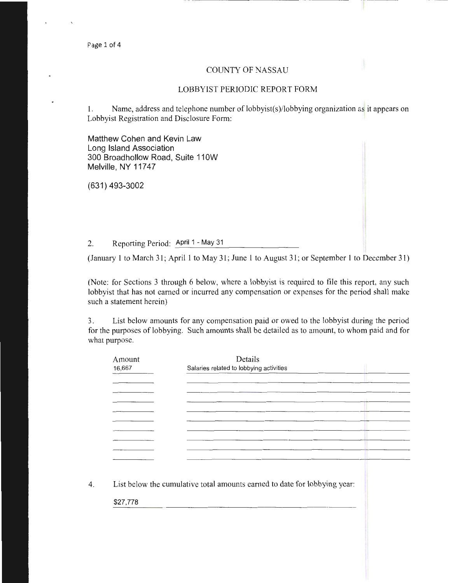### COUNTY OF NASSAU

### LOBBYIST PERIODIC REPORT FORM

1. Name, address and telephone number of lobbyist(s)/lobbying organization as it appears on Lobbyist Registration and Disclosure Form:

Matthew Cohen and Kevin Law Long Island Association 300 Broadhollow Road, Suite 110W Melville, NY 11747

(631) 493-3002

2. Reporting Period: April 1 - May 31

(January 1 to March 31; April 1 to May 31; June 1 to August 31 ; or September 1 to December 31)

(Note: for Sections 3 through 6 below, where a lobbyist is required to file this report, any such lobbyist that has not earned or incurred any compensation or expenses for the period shall make such a statement herein)

3. List below amounts for any compensation paid or owed to the lobbyist during the period for the purposes of lobbying. Such amounts shall be detailed as to amount, to whom paid and for what purpose.

| Amount<br>16,667 | Details<br>Salaries related to lobbying activities |
|------------------|----------------------------------------------------|
|                  |                                                    |
|                  |                                                    |
|                  |                                                    |
|                  |                                                    |
|                  |                                                    |
|                  |                                                    |
|                  |                                                    |

4. List below the cumulative total amounts earned to date for lobbying year:

\$27,778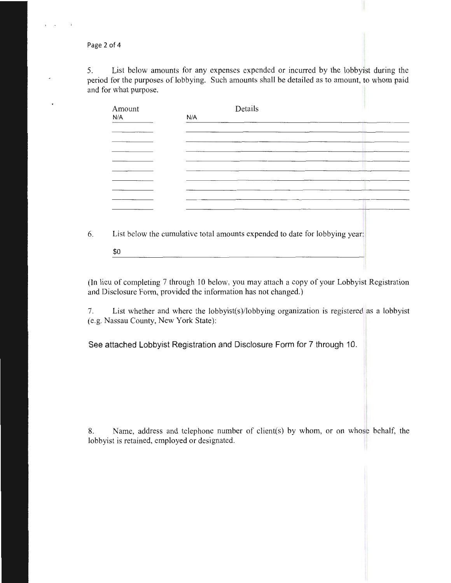Page 2 of 4

5. List below amounts for any expenses expended or incurred by the lobbyist during the period for the purposes of lobbying. Such amounts shall be detailed as to amount, to whom paid and for what purpose.

| List below the cumulative total amounts expended to date for lobbying year: |
|-----------------------------------------------------------------------------|

(In lieu of completing 7 through lO below, you may attach a copy of your Lobbyist Registration and Disclosure Form, provided the information has not changed.)

7. List whether and where the lobbyist(s)/lobbying organization is registered as a lobbyist (e.g. Nassau County, New York State):

See attached Lobbyist Registration and Disclosure Form for 7 through 10.

8. Name, address and telephone number of client(s) by whom, or on whose behalf, the lobbyist is retained, employed or designated.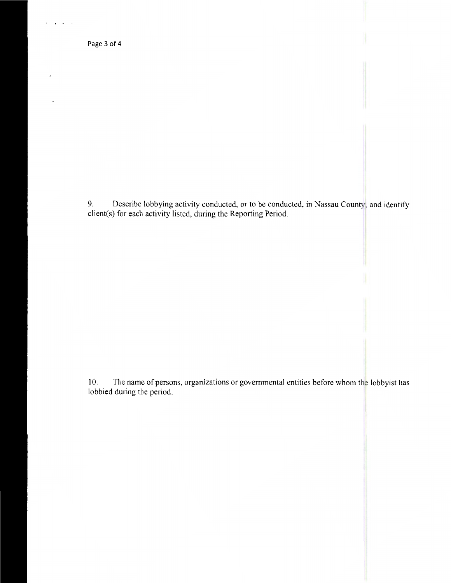Page 3 of 4

) ...

9. Describe lobbying activity conducted, or to be conducted, in Nassau County, and identify client(s) for each activity listed, during the Reporting Period.

10. The name of persons, organizations or governmental entities before whom the lobbyist has lobbied during the period.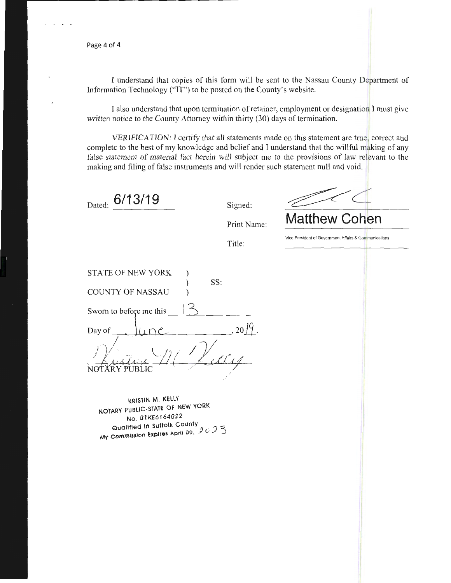Page 4 of 4

I understand that copies of this form will be sent to the Nassau County Department of Information Technology ("IT") to be posted on the County's website.

I also understand that upon termination of retainer, employment or designation I must give written notice to the County Attorney within thirty (30) days of termination.

VERIFICATION: I certify that all statements made on this statement are true, correct and complete to the best of my knowledge and belief and I understand that the willful making of any false statement of material fact herein will subject me to the provisions of law relevant to the making and filing of false instruments and will render such statement null and void.

Dated: **6/13/19** 

Signed:

**Matthew Cohen** 

Print Name:

Title:

Vice President of Government Affairs & Communications

| <b>STATE OF NEW YORK</b> |     | SS: |    |
|--------------------------|-----|-----|----|
| <b>COUNTY OF NASSAU</b>  |     |     |    |
| Sworn to before me this  |     |     |    |
| Day of                   |     |     | 20 |
|                          | LIC |     |    |

KRISTIN M. KELLY NOTARY PUBLIC-STATE OF NEW YORK No. 01KE6164022<br>Qualified In Suffolk County  $\alpha$  Qualified **in** Suffolk County  $\alpha \wedge \beta$  is a My Commission Expires April 09,  $\overline{\mathcal{F}}$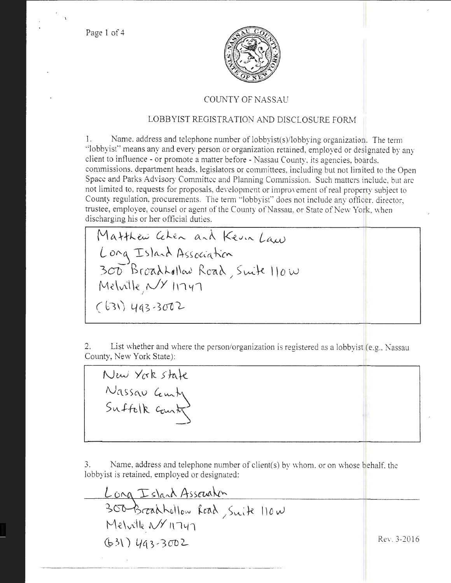Page 1 of 4

t



### COUNTY OF NASSAU

## LOBBYIST REGISTRATION AND DISCLOSURE FORM

I. Name. address and telephone number of lobbyist(s)/lobbying organization. The term "lobbyist" means any and every person or organization retained, employed or designated by any client to influence - or promote a matter before - Nassau County, its agencies, boards. commissions, department heads. legislators or committees, including but not limited to the Open Space and Parks Advisory Committee and Planning Commission. Such matters include, but are not limited to, requests for proposals, development or improvement of real property subject to County regulation, procurements. The tenn "lobbyist" does not include any officer, director, trustee, employee, counsel or agent of the County of Nassau, or State of New York, when discharging his or her official duties.

Matthew Goken and Kevin Law  $L$  org Island Association 300 BroadLollan Road, Suite 110 W  $M$ elville  $N$ 11141  $(631)$  493-3002

2. List whether and where the person/organization is registered as a lobbyist (e.g., Nassau County, New York State):

New York state Nassau Cemby

3. Name, address and telephone number of client(s) by whom, or on whose behalf. the lobbyist is retained, employed or designated:

Long Island Association<br>300 Broadhollow Road, Suite 110 W Melville NY 11747  $(631)$  493-3002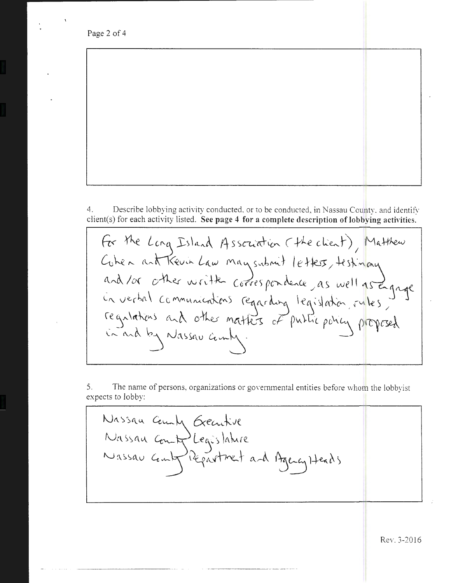Page 2 of 4

4. Describe lobbying activity conducted, or to be conducted, in Nassau County, and identify client(s) for each activity listed. **See page 4 for a complete description of lobbying activities.** 

For the Long Island Association (the client), Matthew Cubea ant Kevin Law may submit letters, testimany and /or other written correspondence, as well as Engage<br>in verbal communications regarding legislation, rules, in and by Nassau comby.

5. The name of persons, organizations or governmental entities before whom the lobbyist expects to lobby:

Nassaa camp Deentil *'(\) (\.* s '> (\ I.\ **Ce"'-**  $N$  assau  $C$ **e** in  $L_{\epsilon}$  $\sim$ legartment and Harry Heads

------------- --·------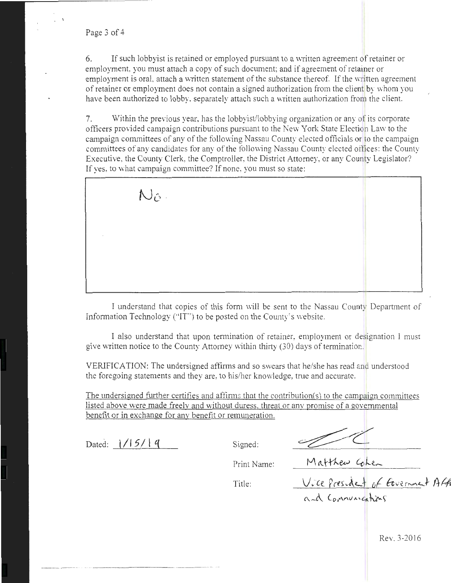Page 3 of 4

\

 $6.$  If such lobbyist is retained or employed pursuant to a written agreement of retainer or employment, you must attach a copy of such document; and if agreement of retainer or employment is oral, attach a written statement of the substance thereof. If the written agreement of retainer or employment does not contain a signed authorization from the client by whom you have been authorized to lobby, separately attach such a written authorization from the client.

7. Within the previous year, has the lobbyist/lobbying organization or any of its corporate officers provided campaign contributions pursuant to the New York State Election Law to the campaign committees of any of the following Nassau County elected officials or to the campaign committees of any candidates for any of the following Nassau County elected offices: the County Executive, the County Clerk, the Comptroller, the District Attorney, or any County Legislator? If yes, to what campaign committee? If none, you must so state:

 $N$  $\hat{\circ}$ .

I understand that copies of this form will be sent to the Nassau County Department of Information Technology ("'IT') to be posted on the County's website.

I also understand that upon termination of retainer, employment or designation 1 must give written notice to the County Attorney within thirty (30) days of termination.

VERIFICATION: The undersigned affirms and so swears that he/she has read and understood the foregoing statements and they are, to his/her knowledge, true and accurate.

The undersigned further certifies and affirms that the contribution(s) to the campaign committees listed above were made freelv and without duress. threat or anv promise of a governmental benefit or in exchange for any benefit or remuneration.

Dated:  $1/15/19$  Signed:

Print Name:

Print Name: <u>Matthew Cohen</u><br>Title: <u>Vice President of Government</u> Aft

 $A \sim A$  Connecting time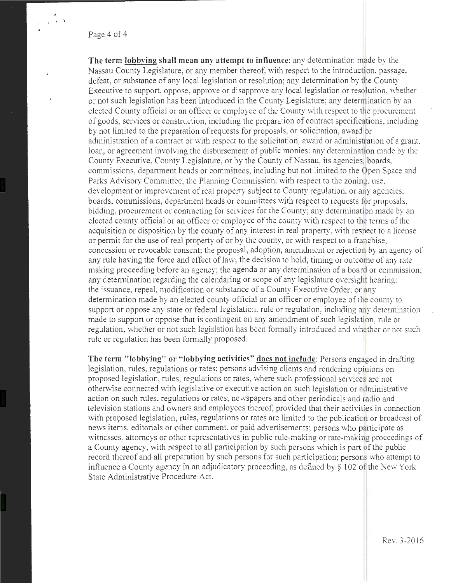### Page 4 of 4

. . '

**The term lobbving shall mean any attempt to influence:** any detennination made by the Nassau County Legislature, or any member thereof, with respect to the introduction, passage, defeat, or substance of any local legislation or resolution; any determination by the County Executive to support, oppose, approve or disapprove any local legislation or resolution, whether or not such legislation has been introduced in the County Legislature; any determination by an elected County official or an officer or employee of the County with respect to the procurement of goods, services or construction, including the preparation of contract specifications, including by not limited to the preparation of requests for proposals, or solicitation, award or administration of a contract or with respect to the solicitation, award or administration of a grant. loan, or agreement involving the disbursement of public monies: any determination made by the County Executive, County Legislature, or by the County of Nassau, its agencies, boards, commissions, department heads or committees, including but not limited to the Open Space and Parks Advisory Committee, the Planning Commission, with respect to the zoning, use, development or improvement of real property subject to County regulation, or any agencies, boards, commissions, department heads or committees with respect to requests for proposals, bidding, procurement or contracting for services for the County; any determination made by an elected county official or an officer or employee of the county with respect to the terms of the acquisition or disposition by the county of any interest in real property, with respect to a license or permit for the use of real property of or by the county, or with respect to a franchise, concession or revocable consent; the proposal, adoption, amendment or rejection by an agency of any rule having the force and effect of law; the decision to hold, timing or outcome of any rate making proceeding before an agency; the agenda or any determination of a board or commission; any determination regarding the calendaring or scope of any legislature oversight hearing; the issuance, repeal. modification or substance of a County Executive Order: or any determination made by an elected county official or an officer or employee of the county to support or oppose any state or federal legislation, rule or regulation, including any determination made to support or oppose that is contingent on any amendment of such legislation, rule or regulation, whether or not such legislation has been formally introduced and whether or not such rule or regulation has been formally proposed.

**The term "lobbying" or "lobbying activities"** docs **not include:** Persons engaged in drafting legislation, rules, regulations or rates; persons advising clients and rendering opinions on proposed legislation, rules, regulations or rates, where such professional services are not otherwise connected with legislative or executive action on such legislation or administrative action on such rules, regulations or rates; newspapers and other periodicals and radio and television stations and owners and employees thereof, provided that their activities in connection with proposed legislation, rules, regulations or rates are limited to the publication or broadcast of news items, editorials or other comment, or paid advertisements; persons who participate as witnesses, attorneys or other representatives in public rule-making or rate-making proceedings of a County agency, with respect to all participation by such persons which is part of the public record thereof and all preparation by such persons for such participation; persons who attempt to influence a County agency in an adjudicatory proceeding, as defined by § 102 of the New York State Administrative Procedure Act.